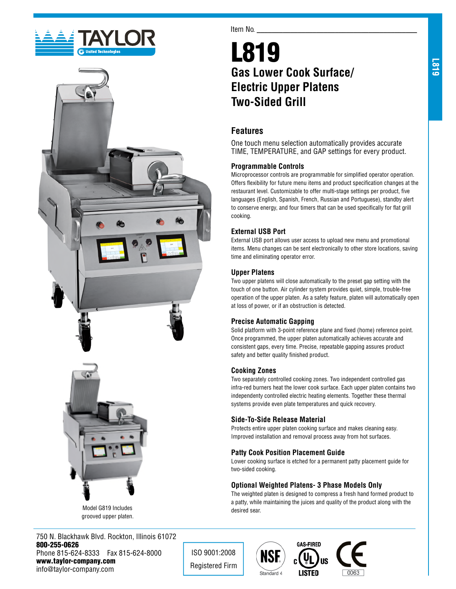





Model G819 Includes grooved upper platen.

750 N. Blackhawk Blvd. Rockton, Illinois 61072 800-255-0626 Phone 815-624-8333 Fax 815-624-8000 www.taylor-company.com info@taylor-company.com

Item No.

# L819 **Gas Lower Cook Surface/ Electric Upper Platens Two-Sided Grill**

## **Features**

One touch menu selection automatically provides accurate TIME, TEMPERATURE, and GAP settings for every product.

#### **Programmable Controls**

Microprocessor controls are programmable for simplified operator operation. Offers flexibility for future menu items and product specification changes at the restaurant level. Customizable to offer multi-stage settings per product, five languages (English, Spanish, French, Russian and Portuguese), standby alert to conserve energy, and four timers that can be used specifically for flat grill cooking.

#### **External USB Port**

External USB port allows user access to upload new menu and promotional items. Menu changes can be sent electronically to other store locations, saving time and eliminating operator error.

#### **Upper Platens**

Two upper platens will close automatically to the preset gap setting with the touch of one button. Air cylinder system provides quiet, simple, trouble-free operation of the upper platen. As a safety feature, platen will automatically open at loss of power, or if an obstruction is detected.

#### **Precise Automatic Gapping**

Solid platform with 3-point reference plane and fixed (home) reference point. Once programmed, the upper platen automatically achieves accurate and consistent gaps, every time. Precise, repeatable gapping assures product safety and better quality finished product.

#### **Cooking Zones**

Two separately controlled cooking zones. Two independent controlled gas infra-red burners heat the lower cook surface. Each upper platen contains two independenty controlled electric heating elements. Together these thermal systems provide even plate temperatures and quick recovery.

#### **Side-To-Side Release Material**

Protects entire upper platen cooking surface and makes cleaning easy. Improved installation and removal process away from hot surfaces.

#### **Patty Cook Position Placement Guide**

Lower cooking surface is etched for a permanent patty placement guide for two-sided cooking.

#### **Optional Weighted Platens- 3 Phase Models Only**

The weighted platen is designed to compress a fresh hand formed product to a patty, while maintaining the juices and quality of the product along with the desired sear.